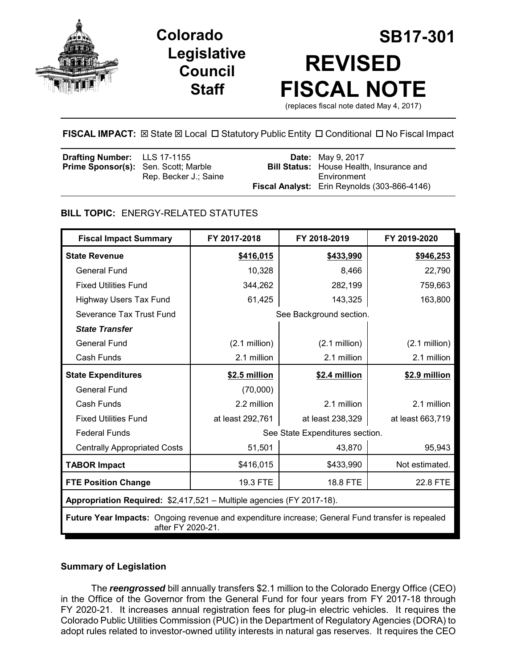

# **Legislative Council Staff**



**FISCAL IMPACT:** ⊠ State ⊠ Local □ Statutory Public Entity □ Conditional □ No Fiscal Impact

| Drafting Number: LLS 17-1155<br><b>Prime Sponsor(s):</b> Sen. Scott; Marble | Rep. Becker J.: Saine | <b>Date:</b> May 9, 2017<br><b>Bill Status:</b> House Health, Insurance and<br>Environment |
|-----------------------------------------------------------------------------|-----------------------|--------------------------------------------------------------------------------------------|
|                                                                             |                       | Fiscal Analyst: Erin Reynolds (303-866-4146)                                               |

# **BILL TOPIC:** ENERGY-RELATED STATUTES

| <b>Fiscal Impact Summary</b>                                                                                          | FY 2017-2018                    | FY 2018-2019     | FY 2019-2020     |  |
|-----------------------------------------------------------------------------------------------------------------------|---------------------------------|------------------|------------------|--|
| <b>State Revenue</b>                                                                                                  | \$416,015                       | \$433,990        | \$946,253        |  |
| General Fund                                                                                                          | 10,328                          | 8,466            | 22,790           |  |
| <b>Fixed Utilities Fund</b>                                                                                           | 344,262                         | 282,199          | 759,663          |  |
| <b>Highway Users Tax Fund</b>                                                                                         | 61,425                          | 143,325          | 163,800          |  |
| Severance Tax Trust Fund                                                                                              | See Background section.         |                  |                  |  |
| <b>State Transfer</b>                                                                                                 |                                 |                  |                  |  |
| <b>General Fund</b>                                                                                                   | $(2.1$ million)                 | $(2.1$ million)  | $(2.1$ million)  |  |
| Cash Funds                                                                                                            | 2.1 million                     | 2.1 million      | 2.1 million      |  |
| <b>State Expenditures</b>                                                                                             | \$2.5 million                   | \$2.4 million    | \$2.9 million    |  |
| General Fund                                                                                                          | (70,000)                        |                  |                  |  |
| Cash Funds                                                                                                            | 2.2 million                     | 2.1 million      | 2.1 million      |  |
| <b>Fixed Utilities Fund</b>                                                                                           | at least 292,761                | at least 238,329 | at least 663,719 |  |
| <b>Federal Funds</b>                                                                                                  | See State Expenditures section. |                  |                  |  |
| <b>Centrally Appropriated Costs</b>                                                                                   | 51,501                          | 43,870           | 95,943           |  |
| <b>TABOR Impact</b>                                                                                                   | \$416,015                       | \$433,990        | Not estimated.   |  |
| <b>FTE Position Change</b>                                                                                            | 19.3 FTE                        | 18.8 FTE         | 22.8 FTE         |  |
| Appropriation Required: \$2,417,521 - Multiple agencies (FY 2017-18).                                                 |                                 |                  |                  |  |
| Future Year Impacts: Ongoing revenue and expenditure increase; General Fund transfer is repealed<br>after FY 2020-21. |                                 |                  |                  |  |

# **Summary of Legislation**

The *reengrossed* bill annually transfers \$2.1 million to the Colorado Energy Office (CEO) in the Office of the Governor from the General Fund for four years from FY 2017-18 through FY 2020-21. It increases annual registration fees for plug-in electric vehicles. It requires the Colorado Public Utilities Commission (PUC) in the Department of Regulatory Agencies (DORA) to adopt rules related to investor-owned utility interests in natural gas reserves. It requires the CEO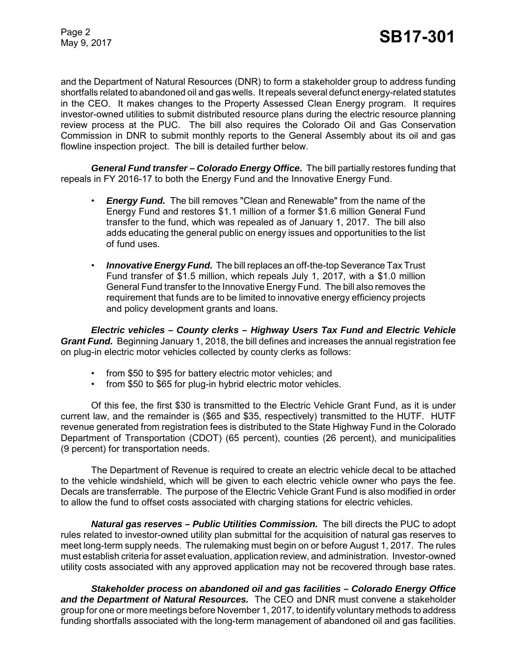and the Department of Natural Resources (DNR) to form a stakeholder group to address funding shortfalls related to abandoned oil and gas wells. It repeals several defunct energy-related statutes in the CEO. It makes changes to the Property Assessed Clean Energy program. It requires investor-owned utilities to submit distributed resource plans during the electric resource planning review process at the PUC. The bill also requires the Colorado Oil and Gas Conservation Commission in DNR to submit monthly reports to the General Assembly about its oil and gas flowline inspection project. The bill is detailed further below.

*General Fund transfer – Colorado Energy Office***.** The bill partially restores funding that repeals in FY 2016-17 to both the Energy Fund and the Innovative Energy Fund.

- *Energy Fund.*The bill removes "Clean and Renewable" from the name of the Energy Fund and restores \$1.1 million of a former \$1.6 million General Fund transfer to the fund, which was repealed as of January 1, 2017. The bill also adds educating the general public on energy issues and opportunities to the list of fund uses.
- *Innovative Energy Fund.* The bill replaces an off-the-top Severance Tax Trust Fund transfer of \$1.5 million, which repeals July 1, 2017, with a \$1.0 million General Fund transfer to the Innovative Energy Fund. The bill also removes the requirement that funds are to be limited to innovative energy efficiency projects and policy development grants and loans.

*Electric vehicles – County clerks – Highway Users Tax Fund and Electric Vehicle Grant Fund.* Beginning January 1, 2018, the bill defines and increases the annual registration fee on plug-in electric motor vehicles collected by county clerks as follows:

- from \$50 to \$95 for battery electric motor vehicles; and
- from \$50 to \$65 for plug-in hybrid electric motor vehicles.

Of this fee, the first \$30 is transmitted to the Electric Vehicle Grant Fund, as it is under current law, and the remainder is (\$65 and \$35, respectively) transmitted to the HUTF. HUTF revenue generated from registration fees is distributed to the State Highway Fund in the Colorado Department of Transportation (CDOT) (65 percent), counties (26 percent), and municipalities (9 percent) for transportation needs.

The Department of Revenue is required to create an electric vehicle decal to be attached to the vehicle windshield, which will be given to each electric vehicle owner who pays the fee. Decals are transferrable. The purpose of the Electric Vehicle Grant Fund is also modified in order to allow the fund to offset costs associated with charging stations for electric vehicles.

*Natural gas reserves – Public Utilities Commission.* The bill directs the PUC to adopt rules related to investor-owned utility plan submittal for the acquisition of natural gas reserves to meet long-term supply needs. The rulemaking must begin on or before August 1, 2017. The rules must establish criteria for asset evaluation, application review, and administration. Investor-owned utility costs associated with any approved application may not be recovered through base rates.

*Stakeholder process on abandoned oil and gas facilities – Colorado Energy Office and the Department of Natural Resources.* The CEO and DNR must convene a stakeholder group for one or more meetings before November 1, 2017, to identify voluntary methods to address funding shortfalls associated with the long-term management of abandoned oil and gas facilities.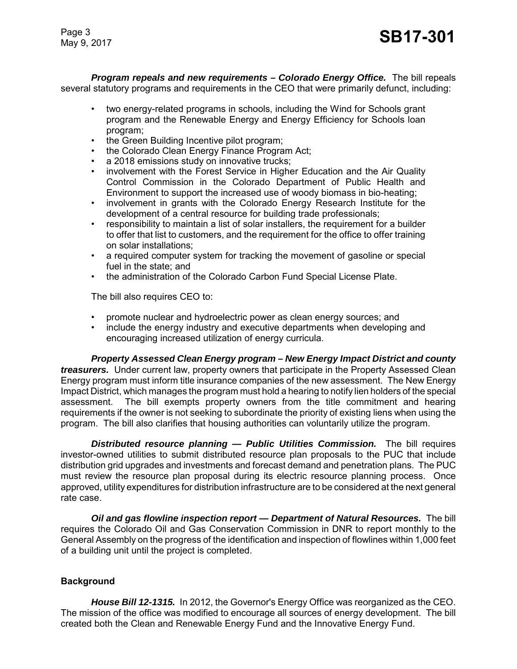Page 3

*Program repeals and new requirements – Colorado Energy Office.* The bill repeals several statutory programs and requirements in the CEO that were primarily defunct, including:

- two energy-related programs in schools, including the Wind for Schools grant program and the Renewable Energy and Energy Efficiency for Schools loan program;
- the Green Building Incentive pilot program:
- the Colorado Clean Energy Finance Program Act;
- a 2018 emissions study on innovative trucks;
- involvement with the Forest Service in Higher Education and the Air Quality Control Commission in the Colorado Department of Public Health and Environment to support the increased use of woody biomass in bio-heating;
- involvement in grants with the Colorado Energy Research Institute for the development of a central resource for building trade professionals;
- responsibility to maintain a list of solar installers, the requirement for a builder to offer that list to customers, and the requirement for the office to offer training on solar installations;
- a required computer system for tracking the movement of gasoline or special fuel in the state; and
- the administration of the Colorado Carbon Fund Special License Plate.

The bill also requires CEO to:

- promote nuclear and hydroelectric power as clean energy sources; and
- include the energy industry and executive departments when developing and encouraging increased utilization of energy curricula.

*Property Assessed Clean Energy program – New Energy Impact District and county treasurers.* Under current law, property owners that participate in the Property Assessed Clean Energy program must inform title insurance companies of the new assessment. The New Energy Impact District, which manages the program must hold a hearing to notify lien holders of the special assessment. The bill exempts property owners from the title commitment and hearing requirements if the owner is not seeking to subordinate the priority of existing liens when using the program. The bill also clarifies that housing authorities can voluntarily utilize the program.

*Distributed resource planning — Public Utilities Commission.* The bill requires investor-owned utilities to submit distributed resource plan proposals to the PUC that include distribution grid upgrades and investments and forecast demand and penetration plans. The PUC must review the resource plan proposal during its electric resource planning process. Once approved, utility expenditures for distribution infrastructure are to be considered at the next general rate case.

*Oil and gas flowline inspection report — Department of Natural Resources.* The bill requires the Colorado Oil and Gas Conservation Commission in DNR to report monthly to the General Assembly on the progress of the identification and inspection of flowlines within 1,000 feet of a building unit until the project is completed.

# **Background**

*House Bill 12-1315.* In 2012, the Governor's Energy Office was reorganized as the CEO. The mission of the office was modified to encourage all sources of energy development. The bill created both the Clean and Renewable Energy Fund and the Innovative Energy Fund.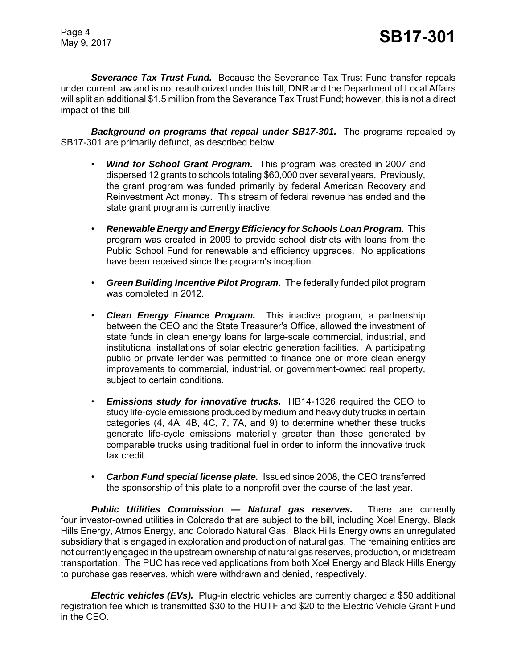*Severance Tax Trust Fund.* Because the Severance Tax Trust Fund transfer repeals under current law and is not reauthorized under this bill, DNR and the Department of Local Affairs will split an additional \$1.5 million from the Severance Tax Trust Fund; however, this is not a direct impact of this bill.

*Background on programs that repeal under SB17-301.* The programs repealed by SB17-301 are primarily defunct, as described below.

- *Wind for School Grant Program***.** This program was created in 2007 and dispersed 12 grants to schools totaling \$60,000 over several years. Previously, the grant program was funded primarily by federal American Recovery and Reinvestment Act money. This stream of federal revenue has ended and the state grant program is currently inactive.
- *Renewable Energy and Energy Efficiency for Schools Loan Program.* This program was created in 2009 to provide school districts with loans from the Public School Fund for renewable and efficiency upgrades. No applications have been received since the program's inception.
- *Green Building Incentive Pilot Program.* The federally funded pilot program was completed in 2012.
- *Clean Energy Finance Program.* This inactive program, a partnership between the CEO and the State Treasurer's Office, allowed the investment of state funds in clean energy loans for large-scale commercial, industrial, and institutional installations of solar electric generation facilities. A participating public or private lender was permitted to finance one or more clean energy improvements to commercial, industrial, or government-owned real property, subject to certain conditions.
- *Emissions study for innovative trucks.* HB14-1326 required the CEO to study life-cycle emissions produced by medium and heavy duty trucks in certain categories (4, 4A, 4B, 4C, 7, 7A, and 9) to determine whether these trucks generate life-cycle emissions materially greater than those generated by comparable trucks using traditional fuel in order to inform the innovative truck tax credit.
- *Carbon Fund special license plate.* Issued since 2008, the CEO transferred the sponsorship of this plate to a nonprofit over the course of the last year.

*Public Utilities Commission — Natural gas reserves.* There are currently four investor-owned utilities in Colorado that are subject to the bill, including Xcel Energy, Black Hills Energy, Atmos Energy, and Colorado Natural Gas. Black Hills Energy owns an unregulated subsidiary that is engaged in exploration and production of natural gas. The remaining entities are not currently engaged in the upstream ownership of natural gas reserves, production, or midstream transportation. The PUC has received applications from both Xcel Energy and Black Hills Energy to purchase gas reserves, which were withdrawn and denied, respectively.

*Electric vehicles (EVs).* Plug-in electric vehicles are currently charged a \$50 additional registration fee which is transmitted \$30 to the HUTF and \$20 to the Electric Vehicle Grant Fund in the CEO.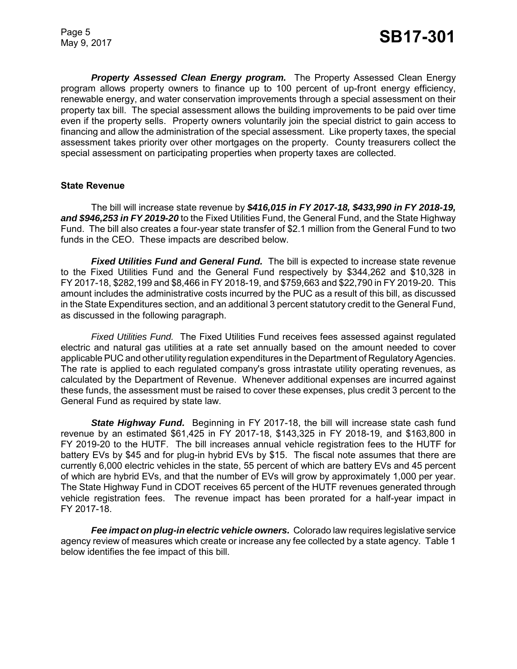*Property Assessed Clean Energy program.* The Property Assessed Clean Energy program allows property owners to finance up to 100 percent of up-front energy efficiency, renewable energy, and water conservation improvements through a special assessment on their property tax bill. The special assessment allows the building improvements to be paid over time even if the property sells. Property owners voluntarily join the special district to gain access to financing and allow the administration of the special assessment. Like property taxes, the special assessment takes priority over other mortgages on the property. County treasurers collect the special assessment on participating properties when property taxes are collected.

#### **State Revenue**

The bill will increase state revenue by *\$416,015 in FY 2017-18, \$433,990 in FY 2018-19, and \$946,253 in FY 2019-20* to the Fixed Utilities Fund, the General Fund, and the State Highway Fund. The bill also creates a four-year state transfer of \$2.1 million from the General Fund to two funds in the CEO. These impacts are described below.

*Fixed Utilities Fund and General Fund.* The bill is expected to increase state revenue to the Fixed Utilities Fund and the General Fund respectively by \$344,262 and \$10,328 in FY 2017-18, \$282,199 and \$8,466 in FY 2018-19, and \$759,663 and \$22,790 in FY 2019-20. This amount includes the administrative costs incurred by the PUC as a result of this bill, as discussed in the State Expenditures section, and an additional 3 percent statutory credit to the General Fund, as discussed in the following paragraph.

*Fixed Utilities Fund.* The Fixed Utilities Fund receives fees assessed against regulated electric and natural gas utilities at a rate set annually based on the amount needed to cover applicable PUC and other utility regulation expenditures in the Department of Regulatory Agencies. The rate is applied to each regulated company's gross intrastate utility operating revenues, as calculated by the Department of Revenue. Whenever additional expenses are incurred against these funds, the assessment must be raised to cover these expenses, plus credit 3 percent to the General Fund as required by state law.

*State Highway Fund.* Beginning in FY 2017-18, the bill will increase state cash fund revenue by an estimated \$61,425 in FY 2017-18, \$143,325 in FY 2018-19, and \$163,800 in FY 2019-20 to the HUTF. The bill increases annual vehicle registration fees to the HUTF for battery EVs by \$45 and for plug-in hybrid EVs by \$15. The fiscal note assumes that there are currently 6,000 electric vehicles in the state, 55 percent of which are battery EVs and 45 percent of which are hybrid EVs, and that the number of EVs will grow by approximately 1,000 per year. The State Highway Fund in CDOT receives 65 percent of the HUTF revenues generated through vehicle registration fees. The revenue impact has been prorated for a half-year impact in FY 2017-18.

*Fee impact on plug-in electric vehicle owners.* Colorado law requires legislative service agency review of measures which create or increase any fee collected by a state agency. Table 1 below identifies the fee impact of this bill.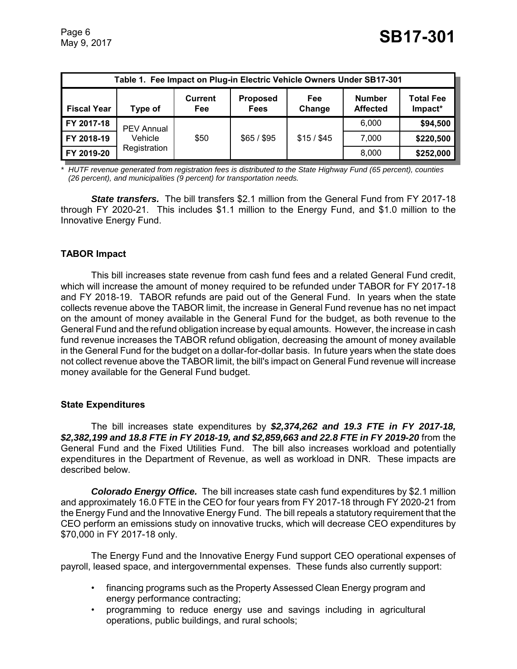| Table 1. Fee Impact on Plug-in Electric Vehicle Owners Under SB17-301 |                   |                              |                                |               |                                  |                             |
|-----------------------------------------------------------------------|-------------------|------------------------------|--------------------------------|---------------|----------------------------------|-----------------------------|
| <b>Fiscal Year</b>                                                    | Type of           | <b>Current</b><br><b>Fee</b> | <b>Proposed</b><br><b>Fees</b> | Fee<br>Change | <b>Number</b><br><b>Affected</b> | <b>Total Fee</b><br>Impact* |
| FY 2017-18                                                            | <b>PEV Annual</b> |                              |                                |               | 6,000                            | \$94,500                    |
| FY 2018-19                                                            | Vehicle           | \$50                         | \$65/\$95                      | $$15/$ $$45$  | 7,000                            | \$220,500                   |
| FY 2019-20                                                            | Registration      |                              |                                |               | 8,000                            | \$252,000                   |

*\* HUTF revenue generated from registration fees is distributed to the State Highway Fund (65 percent), counties (26 percent), and municipalities (9 percent) for transportation needs.* 

**State transfers.** The bill transfers \$2.1 million from the General Fund from FY 2017-18 through FY 2020-21. This includes \$1.1 million to the Energy Fund, and \$1.0 million to the Innovative Energy Fund.

# **TABOR Impact**

This bill increases state revenue from cash fund fees and a related General Fund credit, which will increase the amount of money required to be refunded under TABOR for FY 2017-18 and FY 2018-19. TABOR refunds are paid out of the General Fund. In years when the state collects revenue above the TABOR limit, the increase in General Fund revenue has no net impact on the amount of money available in the General Fund for the budget, as both revenue to the General Fund and the refund obligation increase by equal amounts. However, the increase in cash fund revenue increases the TABOR refund obligation, decreasing the amount of money available in the General Fund for the budget on a dollar-for-dollar basis. In future years when the state does not collect revenue above the TABOR limit, the bill's impact on General Fund revenue will increase money available for the General Fund budget.

#### **State Expenditures**

The bill increases state expenditures by *\$2,374,262 and 19.3 FTE in FY 2017-18, \$2,382,199 and 18.8 FTE in FY 2018-19, and \$2,859,663 and 22.8 FTE in FY 2019-20* from the General Fund and the Fixed Utilities Fund. The bill also increases workload and potentially expenditures in the Department of Revenue, as well as workload in DNR. These impacts are described below.

*Colorado Energy Office.* The bill increases state cash fund expenditures by \$2.1 million and approximately 16.0 FTE in the CEO for four years from FY 2017-18 through FY 2020-21 from the Energy Fund and the Innovative Energy Fund. The bill repeals a statutory requirement that the CEO perform an emissions study on innovative trucks, which will decrease CEO expenditures by \$70,000 in FY 2017-18 only.

The Energy Fund and the Innovative Energy Fund support CEO operational expenses of payroll, leased space, and intergovernmental expenses. These funds also currently support:

- financing programs such as the Property Assessed Clean Energy program and energy performance contracting;
- programming to reduce energy use and savings including in agricultural operations, public buildings, and rural schools;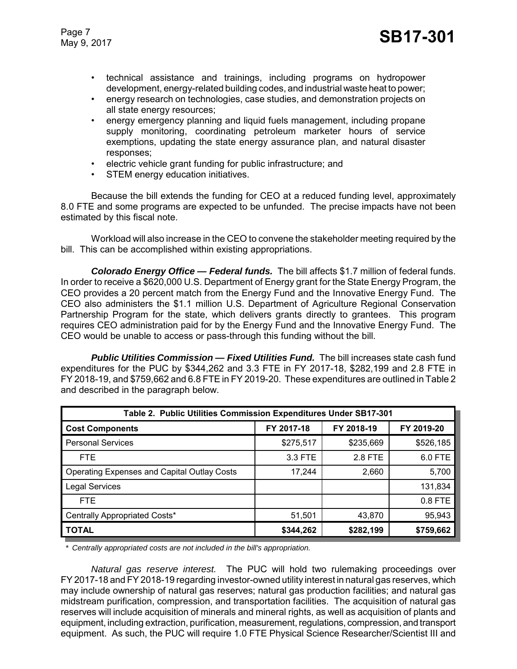- technical assistance and trainings, including programs on hydropower development, energy-related building codes, and industrial waste heat to power;
- energy research on technologies, case studies, and demonstration projects on all state energy resources;
- energy emergency planning and liquid fuels management, including propane supply monitoring, coordinating petroleum marketer hours of service exemptions, updating the state energy assurance plan, and natural disaster responses;
- electric vehicle grant funding for public infrastructure; and
- STEM energy education initiatives.

Because the bill extends the funding for CEO at a reduced funding level, approximately 8.0 FTE and some programs are expected to be unfunded. The precise impacts have not been estimated by this fiscal note.

Workload will also increase in the CEO to convene the stakeholder meeting required by the bill. This can be accomplished within existing appropriations.

*Colorado Energy Office — Federal funds.* The bill affects \$1.7 million of federal funds. In order to receive a \$620,000 U.S. Department of Energy grant for the State Energy Program, the CEO provides a 20 percent match from the Energy Fund and the Innovative Energy Fund. The CEO also administers the \$1.1 million U.S. Department of Agriculture Regional Conservation Partnership Program for the state, which delivers grants directly to grantees. This program requires CEO administration paid for by the Energy Fund and the Innovative Energy Fund. The CEO would be unable to access or pass-through this funding without the bill.

*Public Utilities Commission — Fixed Utilities Fund.* The bill increases state cash fund expenditures for the PUC by \$344,262 and 3.3 FTE in FY 2017-18, \$282,199 and 2.8 FTE in FY 2018-19, and \$759,662 and 6.8 FTE in FY 2019-20. These expenditures are outlined in Table 2 and described in the paragraph below.

| Table 2. Public Utilities Commission Expenditures Under SB17-301 |            |            |            |
|------------------------------------------------------------------|------------|------------|------------|
| <b>Cost Components</b>                                           | FY 2017-18 | FY 2018-19 | FY 2019-20 |
| <b>Personal Services</b>                                         | \$275,517  | \$235,669  | \$526,185  |
| FTE.                                                             | 3.3 FTE    | 2.8 FTE    | 6.0 FTE    |
| <b>Operating Expenses and Capital Outlay Costs</b>               | 17,244     | 2,660      | 5,700      |
| <b>Legal Services</b>                                            |            |            | 131,834    |
| FTE.                                                             |            |            | 0.8 FTE    |
| Centrally Appropriated Costs*                                    | 51,501     | 43,870     | 95,943     |
| <b>TOTAL</b>                                                     | \$344,262  | \$282,199  | \$759,662  |

*\* Centrally appropriated costs are not included in the bill's appropriation.*

*Natural gas reserve interest.* The PUC will hold two rulemaking proceedings over FY 2017-18 and FY 2018-19 regarding investor-owned utility interest in natural gas reserves, which may include ownership of natural gas reserves; natural gas production facilities; and natural gas midstream purification, compression, and transportation facilities. The acquisition of natural gas reserves will include acquisition of minerals and mineral rights, as well as acquisition of plants and equipment, including extraction, purification, measurement, regulations, compression, and transport equipment. As such, the PUC will require 1.0 FTE Physical Science Researcher/Scientist III and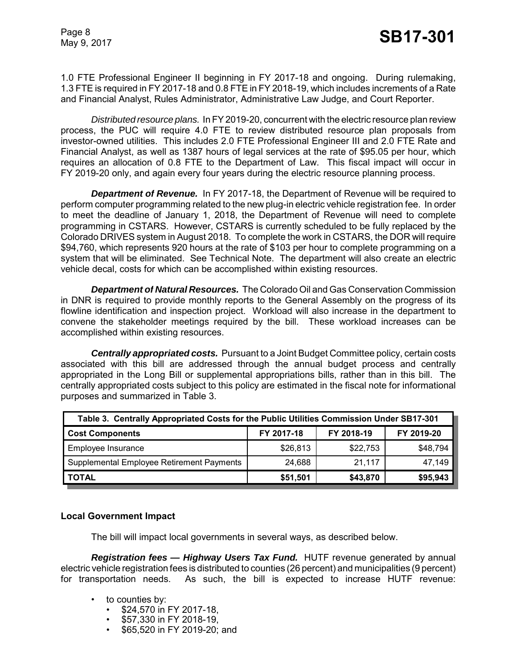1.0 FTE Professional Engineer II beginning in FY 2017-18 and ongoing. During rulemaking, 1.3 FTE is required in FY 2017-18 and 0.8 FTE in FY 2018-19, which includes increments of a Rate and Financial Analyst, Rules Administrator, Administrative Law Judge, and Court Reporter.

*Distributed resource plans.* In FY2019-20, concurrent with the electric resource plan review process, the PUC will require 4.0 FTE to review distributed resource plan proposals from investor-owned utilities. This includes 2.0 FTE Professional Engineer III and 2.0 FTE Rate and Financial Analyst, as well as 1387 hours of legal services at the rate of \$95.05 per hour, which requires an allocation of 0.8 FTE to the Department of Law. This fiscal impact will occur in FY 2019-20 only, and again every four years during the electric resource planning process.

*Department of Revenue.* In FY 2017-18, the Department of Revenue will be required to perform computer programming related to the new plug-in electric vehicle registration fee. In order to meet the deadline of January 1, 2018, the Department of Revenue will need to complete programming in CSTARS. However, CSTARS is currently scheduled to be fully replaced by the Colorado DRIVES system in August 2018. To complete the work in CSTARS, the DOR will require \$94,760, which represents 920 hours at the rate of \$103 per hour to complete programming on a system that will be eliminated. See Technical Note. The department will also create an electric vehicle decal, costs for which can be accomplished within existing resources.

*Department of Natural Resources.* The Colorado Oil and Gas Conservation Commission in DNR is required to provide monthly reports to the General Assembly on the progress of its flowline identification and inspection project. Workload will also increase in the department to convene the stakeholder meetings required by the bill. These workload increases can be accomplished within existing resources.

*Centrally appropriated costs.* Pursuant to a Joint Budget Committee policy, certain costs associated with this bill are addressed through the annual budget process and centrally appropriated in the Long Bill or supplemental appropriations bills, rather than in this bill. The centrally appropriated costs subject to this policy are estimated in the fiscal note for informational purposes and summarized in Table 3.

| Table 3. Centrally Appropriated Costs for the Public Utilities Commission Under SB17-301 |            |            |            |
|------------------------------------------------------------------------------------------|------------|------------|------------|
| <b>Cost Components</b>                                                                   | FY 2017-18 | FY 2018-19 | FY 2019-20 |
| Employee Insurance                                                                       | \$26,813   | \$22,753   | \$48,794   |
| Supplemental Employee Retirement Payments                                                | 24.688     | 21,117     | 47,149     |
| <b>TOTAL</b>                                                                             | \$51,501   | \$43,870   | \$95,943   |

#### **Local Government Impact**

The bill will impact local governments in several ways, as described below.

*Registration fees — Highway Users Tax Fund.* HUTF revenue generated by annual electric vehicle registration fees is distributed to counties (26 percent) and municipalities (9 percent) for transportation needs. As such, the bill is expected to increase HUTF revenue:

- to counties by:
	- \$24,570 in FY 2017-18,
	- \$57,330 in FY 2018-19,
	- \$65,520 in FY 2019-20; and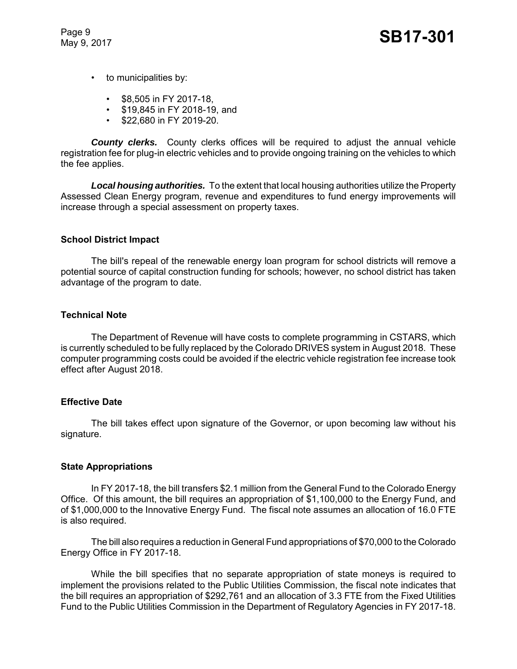Page 9

- to municipalities by:
	- \$8,505 in FY 2017-18,
	- \$19,845 in FY 2018-19, and
	- \$22,680 in FY 2019-20.

**County clerks.** County clerks offices will be required to adjust the annual vehicle registration fee for plug-in electric vehicles and to provide ongoing training on the vehicles to which the fee applies.

*Local housing authorities.* To the extent that local housing authorities utilize the Property Assessed Clean Energy program, revenue and expenditures to fund energy improvements will increase through a special assessment on property taxes.

## **School District Impact**

The bill's repeal of the renewable energy loan program for school districts will remove a potential source of capital construction funding for schools; however, no school district has taken advantage of the program to date.

## **Technical Note**

The Department of Revenue will have costs to complete programming in CSTARS, which is currently scheduled to be fully replaced by the Colorado DRIVES system in August 2018. These computer programming costs could be avoided if the electric vehicle registration fee increase took effect after August 2018.

# **Effective Date**

The bill takes effect upon signature of the Governor, or upon becoming law without his signature.

#### **State Appropriations**

In FY 2017-18, the bill transfers \$2.1 million from the General Fund to the Colorado Energy Office. Of this amount, the bill requires an appropriation of \$1,100,000 to the Energy Fund, and of \$1,000,000 to the Innovative Energy Fund. The fiscal note assumes an allocation of 16.0 FTE is also required.

The bill also requires a reduction in General Fund appropriations of \$70,000 to the Colorado Energy Office in FY 2017-18.

While the bill specifies that no separate appropriation of state moneys is required to implement the provisions related to the Public Utilities Commission, the fiscal note indicates that the bill requires an appropriation of \$292,761 and an allocation of 3.3 FTE from the Fixed Utilities Fund to the Public Utilities Commission in the Department of Regulatory Agencies in FY 2017-18.